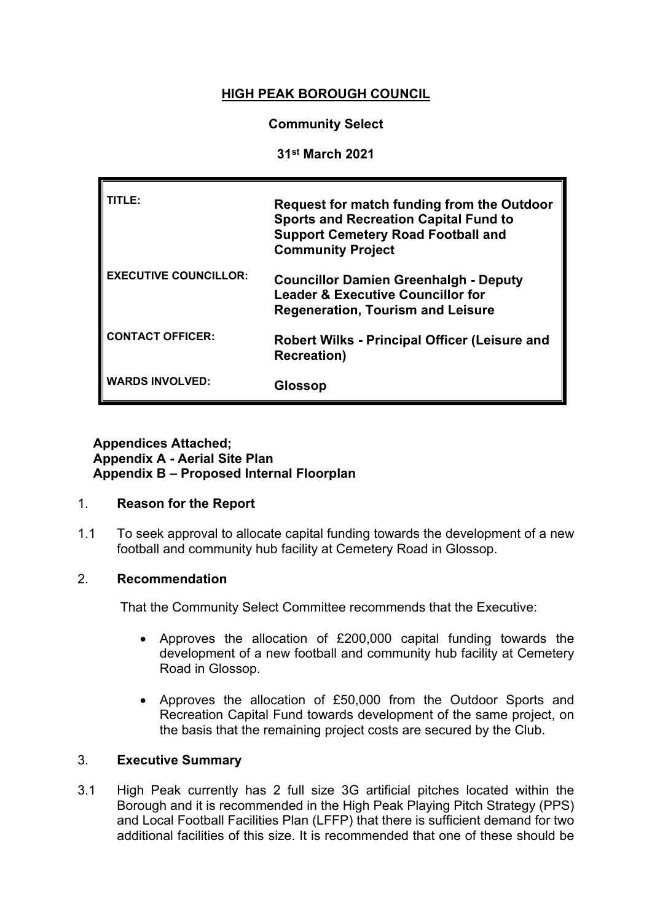# **HIGH PEAK BOROUGH COUNCIL**

# **Community Select**

## **31st March 2021**

| TITLE:                       | <b>Request for match funding from the Outdoor</b><br><b>Sports and Recreation Capital Fund to</b><br><b>Support Cemetery Road Football and</b><br><b>Community Project</b> |
|------------------------------|----------------------------------------------------------------------------------------------------------------------------------------------------------------------------|
| <b>EXECUTIVE COUNCILLOR:</b> | <b>Councillor Damien Greenhalgh - Deputy</b><br><b>Leader &amp; Executive Councillor for</b><br><b>Regeneration, Tourism and Leisure</b>                                   |
| <b>CONTACT OFFICER:</b>      | <b>Robert Wilks - Principal Officer (Leisure and</b><br><b>Recreation</b> )                                                                                                |
| <b>WARDS INVOLVED:</b>       | Glossop                                                                                                                                                                    |

# **Appendices Attached; Appendix A - Aerial Site Plan Appendix B – Proposed Internal Floorplan**

#### 1. **Reason for the Report**

1.1 To seek approval to allocate capital funding towards the development of a new football and community hub facility at Cemetery Road in Glossop.

# 2. **Recommendation**

That the Community Select Committee recommends that the Executive:

- Approves the allocation of £200,000 capital funding towards the development of a new football and community hub facility at Cemetery Road in Glossop.
- Approves the allocation of £50,000 from the Outdoor Sports and Recreation Capital Fund towards development of the same project, on the basis that the remaining project costs are secured by the Club.

# 3. **Executive Summary**

3.1 High Peak currently has 2 full size 3G artificial pitches located within the Borough and it is recommended in the High Peak Playing Pitch Strategy (PPS) and Local Football Facilities Plan (LFFP) that there is sufficient demand for two additional facilities of this size. It is recommended that one of these should be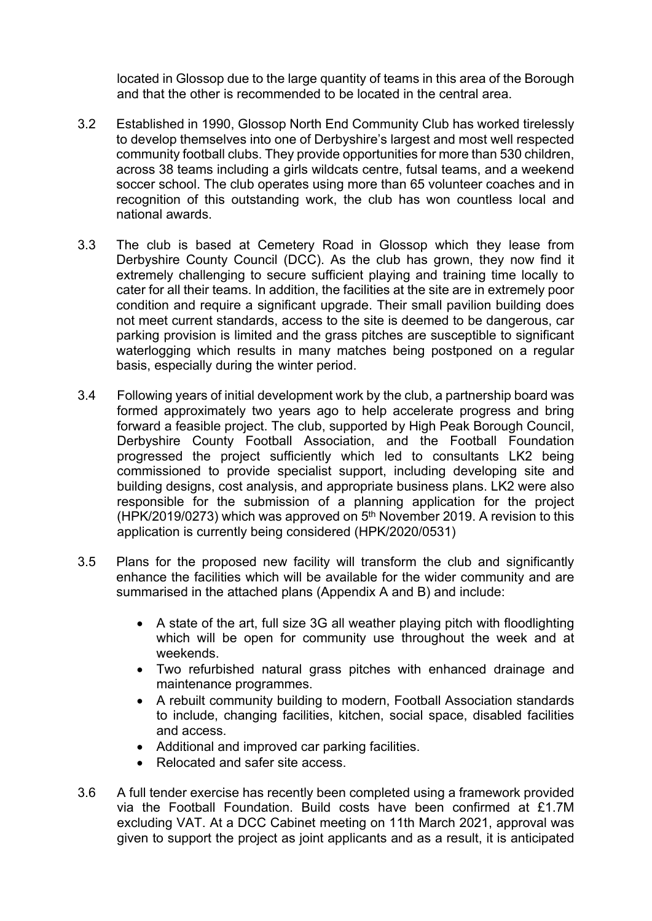located in Glossop due to the large quantity of teams in this area of the Borough and that the other is recommended to be located in the central area.

- 3.2 Established in 1990, Glossop North End Community Club has worked tirelessly to develop themselves into one of Derbyshire's largest and most well respected community football clubs. They provide opportunities for more than 530 children, across 38 teams including a girls wildcats centre, futsal teams, and a weekend soccer school. The club operates using more than 65 volunteer coaches and in recognition of this outstanding work, the club has won countless local and national awards.
- 3.3 The club is based at Cemetery Road in Glossop which they lease from Derbyshire County Council (DCC). As the club has grown, they now find it extremely challenging to secure sufficient playing and training time locally to cater for all their teams. In addition, the facilities at the site are in extremely poor condition and require a significant upgrade. Their small pavilion building does not meet current standards, access to the site is deemed to be dangerous, car parking provision is limited and the grass pitches are susceptible to significant waterlogging which results in many matches being postponed on a regular basis, especially during the winter period.
- 3.4 Following years of initial development work by the club, a partnership board was formed approximately two years ago to help accelerate progress and bring forward a feasible project. The club, supported by High Peak Borough Council, Derbyshire County Football Association, and the Football Foundation progressed the project sufficiently which led to consultants LK2 being commissioned to provide specialist support, including developing site and building designs, cost analysis, and appropriate business plans. LK2 were also responsible for the submission of a planning application for the project (HPK/2019/0273) which was approved on 5<sup>th</sup> November 2019. A revision to this application is currently being considered (HPK/2020/0531)
- 3.5 Plans for the proposed new facility will transform the club and significantly enhance the facilities which will be available for the wider community and are summarised in the attached plans (Appendix A and B) and include:
	- A state of the art, full size 3G all weather playing pitch with floodlighting which will be open for community use throughout the week and at weekends.
	- Two refurbished natural grass pitches with enhanced drainage and maintenance programmes.
	- A rebuilt community building to modern, Football Association standards to include, changing facilities, kitchen, social space, disabled facilities and access.
	- Additional and improved car parking facilities.
	- Relocated and safer site access.
- 3.6 A full tender exercise has recently been completed using a framework provided via the Football Foundation. Build costs have been confirmed at £1.7M excluding VAT. At a DCC Cabinet meeting on 11th March 2021, approval was given to support the project as joint applicants and as a result, it is anticipated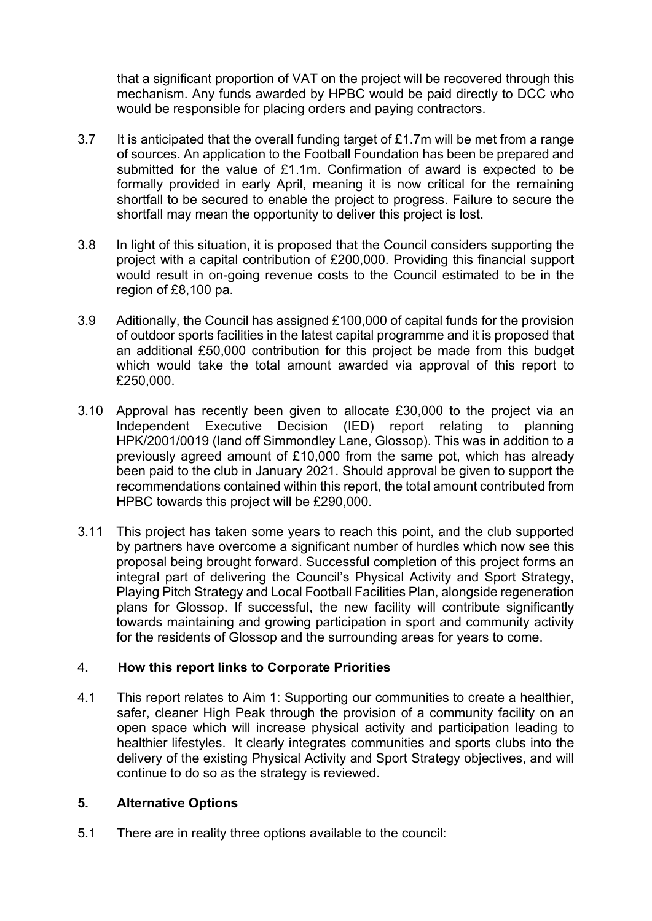that a significant proportion of VAT on the project will be recovered through this mechanism. Any funds awarded by HPBC would be paid directly to DCC who would be responsible for placing orders and paying contractors.

- 3.7 It is anticipated that the overall funding target of £1.7m will be met from a range of sources. An application to the Football Foundation has been be prepared and submitted for the value of £1.1m. Confirmation of award is expected to be formally provided in early April, meaning it is now critical for the remaining shortfall to be secured to enable the project to progress. Failure to secure the shortfall may mean the opportunity to deliver this project is lost.
- 3.8 In light of this situation, it is proposed that the Council considers supporting the project with a capital contribution of £200,000. Providing this financial support would result in on-going revenue costs to the Council estimated to be in the region of £8,100 pa.
- 3.9 Aditionally, the Council has assigned £100,000 of capital funds for the provision of outdoor sports facilities in the latest capital programme and it is proposed that an additional £50,000 contribution for this project be made from this budget which would take the total amount awarded via approval of this report to £250,000.
- 3.10 Approval has recently been given to allocate £30,000 to the project via an Independent Executive Decision (IED) report relating to planning HPK/2001/0019 (land off Simmondley Lane, Glossop). This was in addition to a previously agreed amount of £10,000 from the same pot, which has already been paid to the club in January 2021. Should approval be given to support the recommendations contained within this report, the total amount contributed from HPBC towards this project will be £290,000.
- 3.11 This project has taken some years to reach this point, and the club supported by partners have overcome a significant number of hurdles which now see this proposal being brought forward. Successful completion of this project forms an integral part of delivering the Council's Physical Activity and Sport Strategy, Playing Pitch Strategy and Local Football Facilities Plan, alongside regeneration plans for Glossop. If successful, the new facility will contribute significantly towards maintaining and growing participation in sport and community activity for the residents of Glossop and the surrounding areas for years to come.

# 4. **How this report links to Corporate Priorities**

4.1 This report relates to Aim 1: Supporting our communities to create a healthier, safer, cleaner High Peak through the provision of a community facility on an open space which will increase physical activity and participation leading to healthier lifestyles. It clearly integrates communities and sports clubs into the delivery of the existing Physical Activity and Sport Strategy objectives, and will continue to do so as the strategy is reviewed.

# **5. Alternative Options**

5.1 There are in reality three options available to the council: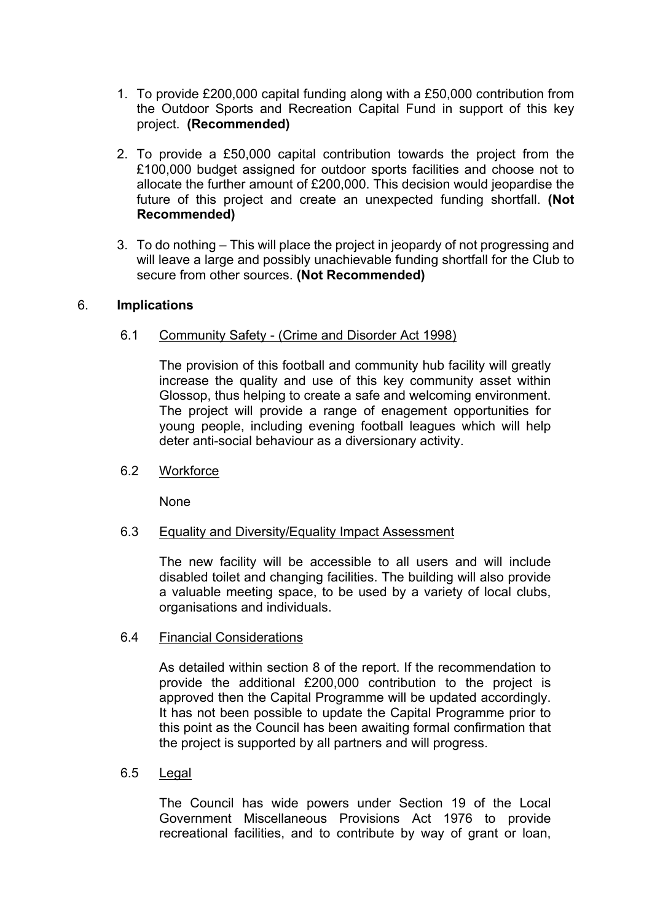- 1. To provide £200,000 capital funding along with a £50,000 contribution from the Outdoor Sports and Recreation Capital Fund in support of this key project. **(Recommended)**
- 2. To provide a £50,000 capital contribution towards the project from the £100,000 budget assigned for outdoor sports facilities and choose not to allocate the further amount of £200,000. This decision would jeopardise the future of this project and create an unexpected funding shortfall. **(Not Recommended)**
- 3. To do nothing This will place the project in jeopardy of not progressing and will leave a large and possibly unachievable funding shortfall for the Club to secure from other sources. **(Not Recommended)**

## 6. **Implications**

### 6.1 Community Safety - (Crime and Disorder Act 1998)

The provision of this football and community hub facility will greatly increase the quality and use of this key community asset within Glossop, thus helping to create a safe and welcoming environment. The project will provide a range of enagement opportunities for young people, including evening football leagues which will help deter anti-social behaviour as a diversionary activity.

#### 6.2 Workforce

None

#### 6.3 Equality and Diversity/Equality Impact Assessment

The new facility will be accessible to all users and will include disabled toilet and changing facilities. The building will also provide a valuable meeting space, to be used by a variety of local clubs, organisations and individuals.

#### 6.4 Financial Considerations

As detailed within section 8 of the report. If the recommendation to provide the additional £200,000 contribution to the project is approved then the Capital Programme will be updated accordingly. It has not been possible to update the Capital Programme prior to this point as the Council has been awaiting formal confirmation that the project is supported by all partners and will progress.

# 6.5 Legal

The Council has wide powers under Section 19 of the Local Government Miscellaneous Provisions Act 1976 to provide recreational facilities, and to contribute by way of grant or loan,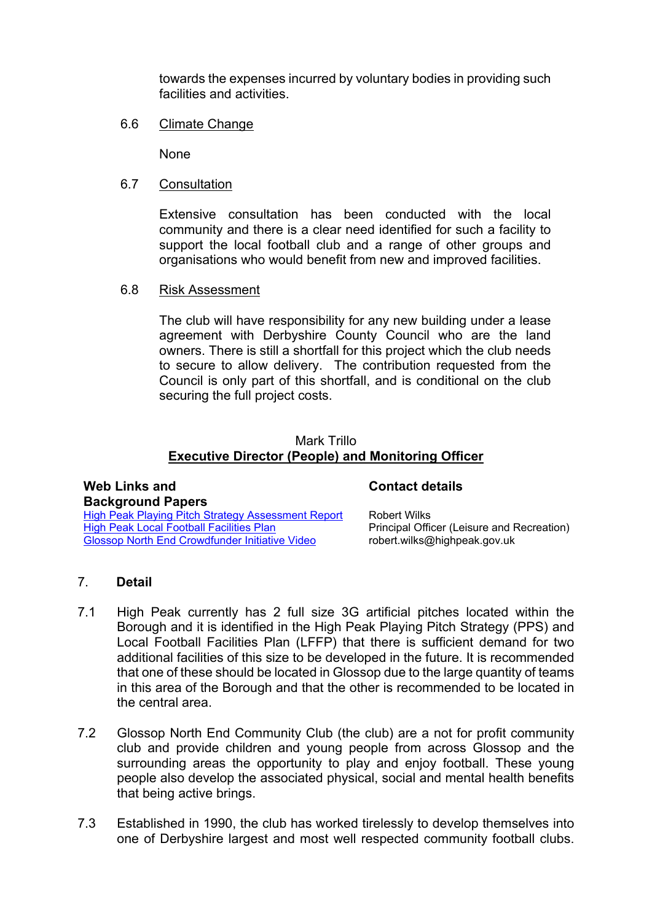towards the expenses incurred by voluntary bodies in providing such facilities and activities.

6.6 Climate Change

None

6.7 Consultation

Extensive consultation has been conducted with the local community and there is a clear need identified for such a facility to support the local football club and a range of other groups and organisations who would benefit from new and improved facilities.

6.8 Risk Assessment

The club will have responsibility for any new building under a lease agreement with Derbyshire County Council who are the land owners. There is still a shortfall for this project which the club needs to secure to allow delivery. The contribution requested from the Council is only part of this shortfall, and is conditional on the club securing the full project costs.

## Mark Trillo **Executive Director (People) and Monitoring Officer**

# **Web Links and Background Papers**

**Contact details**

High Peak Playing Pitch Strategy [Assessment](file:///S:/Service%20Commissioning/Open%20Space%20and%20Sports%20Strategies%20and%20Plans/HPBC/High_Peak_Playing_Pitch_Strategy_Assessment_Report_-_FINAL.pdf) Report High Peak Local Football [Facilities](file:///S:/Service%20Commissioning/Open%20Space%20and%20Sports%20Strategies%20and%20Plans/HPBC/High%20Peak%20Local%20Football%20Facility%20Plan.pdf) Plan Glossop North End [Crowdfunder](https://lm.facebook.com/l.php?u=https%3A%2F%2Fwww.crowdfunder.co.uk%2Fglossop-community-sports-hub&h=AT3Dhboyi6SHTo-6rd7RZgCRdxqCzZMtvZICj31RoLRB1mht6Uku4GnImeSM7VUc-LwMghG5_iMyOpn5Hkl78z1Cb6s67yFePTeCQfNqPDRH3VQEmqNs_UAs2-tjaCSu2OKhfynIMSnFWtwiYNhH8A9hNvSdsi9dQXQ) Initiative Video

Robert Wilks Principal Officer (Leisure and Recreation) robert.wilks@highpeak.gov.uk

# 7. **Detail**

- 7.1 High Peak currently has 2 full size 3G artificial pitches located within the Borough and it is identified in the High Peak Playing Pitch Strategy (PPS) and Local Football Facilities Plan (LFFP) that there is sufficient demand for two additional facilities of this size to be developed in the future. It is recommended that one of these should be located in Glossop due to the large quantity of teams in this area of the Borough and that the other is recommended to be located in the central area.
- 7.2 Glossop North End Community Club (the club) are a not for profit community club and provide children and young people from across Glossop and the surrounding areas the opportunity to play and enjoy football. These young people also develop the associated physical, social and mental health benefits that being active brings.
- 7.3 Established in 1990, the club has worked tirelessly to develop themselves into one of Derbyshire largest and most well respected community football clubs.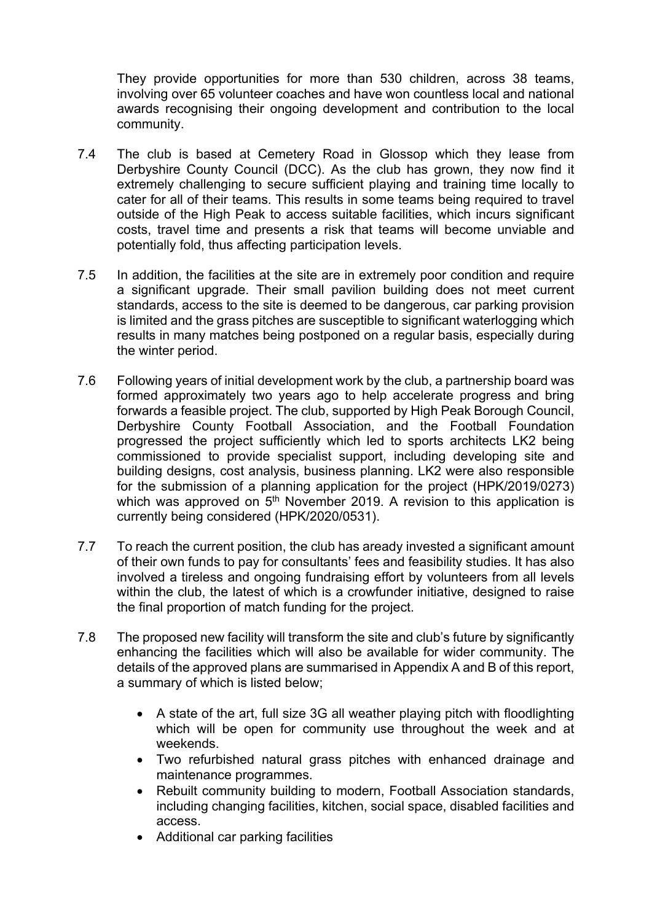They provide opportunities for more than 530 children, across 38 teams, involving over 65 volunteer coaches and have won countless local and national awards recognising their ongoing development and contribution to the local community.

- 7.4 The club is based at Cemetery Road in Glossop which they lease from Derbyshire County Council (DCC). As the club has grown, they now find it extremely challenging to secure sufficient playing and training time locally to cater for all of their teams. This results in some teams being required to travel outside of the High Peak to access suitable facilities, which incurs significant costs, travel time and presents a risk that teams will become unviable and potentially fold, thus affecting participation levels.
- 7.5 In addition, the facilities at the site are in extremely poor condition and require a significant upgrade. Their small pavilion building does not meet current standards, access to the site is deemed to be dangerous, car parking provision is limited and the grass pitches are susceptible to significant waterlogging which results in many matches being postponed on a regular basis, especially during the winter period.
- 7.6 Following years of initial development work by the club, a partnership board was formed approximately two years ago to help accelerate progress and bring forwards a feasible project. The club, supported by High Peak Borough Council, Derbyshire County Football Association, and the Football Foundation progressed the project sufficiently which led to sports architects LK2 being commissioned to provide specialist support, including developing site and building designs, cost analysis, business planning. LK2 were also responsible for the submission of a planning application for the project (HPK/2019/0273) which was approved on 5<sup>th</sup> November 2019. A revision to this application is currently being considered (HPK/2020/0531).
- 7.7 To reach the current position, the club has aready invested a significant amount of their own funds to pay for consultants' fees and feasibility studies. It has also involved a tireless and ongoing fundraising effort by volunteers from all levels within the club, the latest of which is a crowfunder initiative, designed to raise the final proportion of match funding for the project.
- 7.8 The proposed new facility will transform the site and club's future by significantly enhancing the facilities which will also be available for wider community. The details of the approved plans are summarised in Appendix A and B of this report, a summary of which is listed below;
	- A state of the art, full size 3G all weather playing pitch with floodlighting which will be open for community use throughout the week and at weekends.
	- Two refurbished natural grass pitches with enhanced drainage and maintenance programmes.
	- Rebuilt community building to modern, Football Association standards, including changing facilities, kitchen, social space, disabled facilities and access.
	- Additional car parking facilities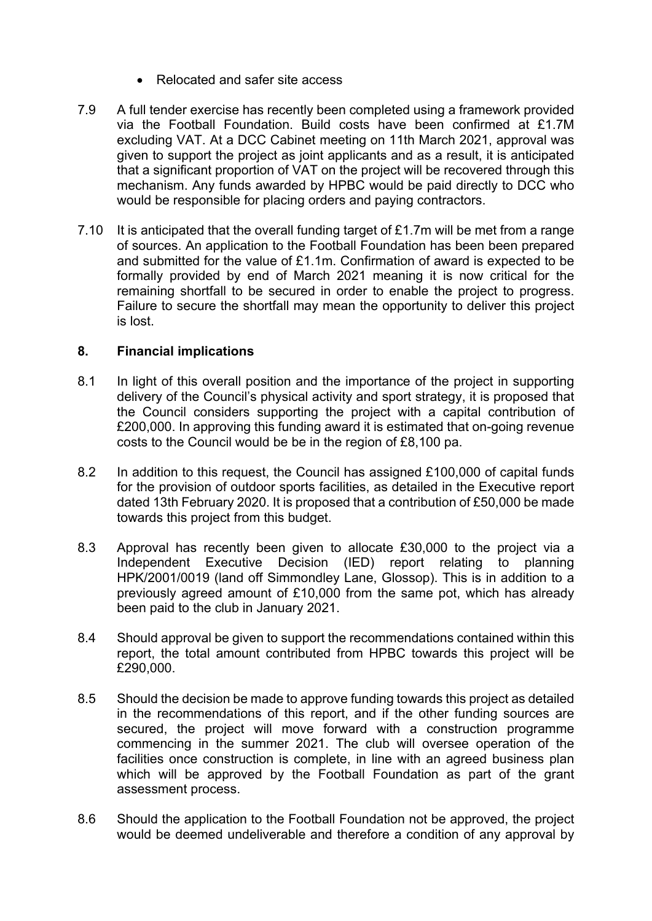- Relocated and safer site access
- 7.9 A full tender exercise has recently been completed using a framework provided via the Football Foundation. Build costs have been confirmed at £1.7M excluding VAT. At a DCC Cabinet meeting on 11th March 2021, approval was given to support the project as joint applicants and as a result, it is anticipated that a significant proportion of VAT on the project will be recovered through this mechanism. Any funds awarded by HPBC would be paid directly to DCC who would be responsible for placing orders and paying contractors.
- 7.10 It is anticipated that the overall funding target of £1.7m will be met from a range of sources. An application to the Football Foundation has been been prepared and submitted for the value of £1.1m. Confirmation of award is expected to be formally provided by end of March 2021 meaning it is now critical for the remaining shortfall to be secured in order to enable the project to progress. Failure to secure the shortfall may mean the opportunity to deliver this project is lost.

# **8. Financial implications**

- 8.1 In light of this overall position and the importance of the project in supporting delivery of the Council's physical activity and sport strategy, it is proposed that the Council considers supporting the project with a capital contribution of £200,000. In approving this funding award it is estimated that on-going revenue costs to the Council would be be in the region of £8,100 pa.
- 8.2 In addition to this request, the Council has assigned £100,000 of capital funds for the provision of outdoor sports facilities, as detailed in the Executive report dated 13th February 2020. It is proposed that a contribution of £50,000 be made towards this project from this budget.
- 8.3 Approval has recently been given to allocate £30,000 to the project via a Independent Executive Decision (IED) report relating to planning HPK/2001/0019 (land off Simmondley Lane, Glossop). This is in addition to a previously agreed amount of £10,000 from the same pot, which has already been paid to the club in January 2021.
- 8.4 Should approval be given to support the recommendations contained within this report, the total amount contributed from HPBC towards this project will be £290,000.
- 8.5 Should the decision be made to approve funding towards this project as detailed in the recommendations of this report, and if the other funding sources are secured, the project will move forward with a construction programme commencing in the summer 2021. The club will oversee operation of the facilities once construction is complete, in line with an agreed business plan which will be approved by the Football Foundation as part of the grant assessment process.
- 8.6 Should the application to the Football Foundation not be approved, the project would be deemed undeliverable and therefore a condition of any approval by